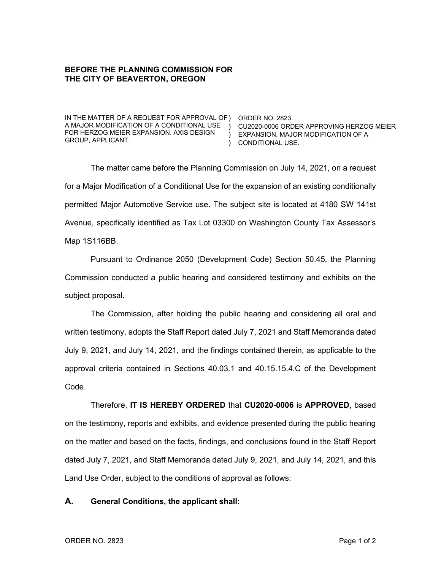## **BEFORE THE PLANNING COMMISSION FOR THE CITY OF BEAVERTON, OREGON**

IN THE MATTER OF A REQUEST FOR APPROVAL OF ) ORDER NO. 2823 A MAJOR MODIFICATION OF A CONDITIONAL USE ) CU2020-0006 ORDER APPROVING HERZOG MEIER FOR HERZOG MEIER EXPANSION. AXIS DESIGN GROUP, APPLICANT.

) EXPANSION, MAJOR MODIFICATION OF A ) CONDITIONAL USE.

The matter came before the Planning Commission on July 14, 2021, on a request for a Major Modification of a Conditional Use for the expansion of an existing conditionally permitted Major Automotive Service use. The subject site is located at 4180 SW 141st Avenue, specifically identified as Tax Lot 03300 on Washington County Tax Assessor's Map 1S116BB.

Pursuant to Ordinance 2050 (Development Code) Section 50.45, the Planning Commission conducted a public hearing and considered testimony and exhibits on the subject proposal.

The Commission, after holding the public hearing and considering all oral and written testimony, adopts the Staff Report dated July 7, 2021 and Staff Memoranda dated July 9, 2021, and July 14, 2021, and the findings contained therein, as applicable to the approval criteria contained in Sections 40.03.1 and 40.15.15.4.C of the Development Code.

Therefore, **IT IS HEREBY ORDERED** that **CU2020-0006** is **APPROVED**, based on the testimony, reports and exhibits, and evidence presented during the public hearing on the matter and based on the facts, findings, and conclusions found in the Staff Report dated July 7, 2021, and Staff Memoranda dated July 9, 2021, and July 14, 2021, and this Land Use Order, subject to the conditions of approval as follows:

## **A. General Conditions, the applicant shall:**